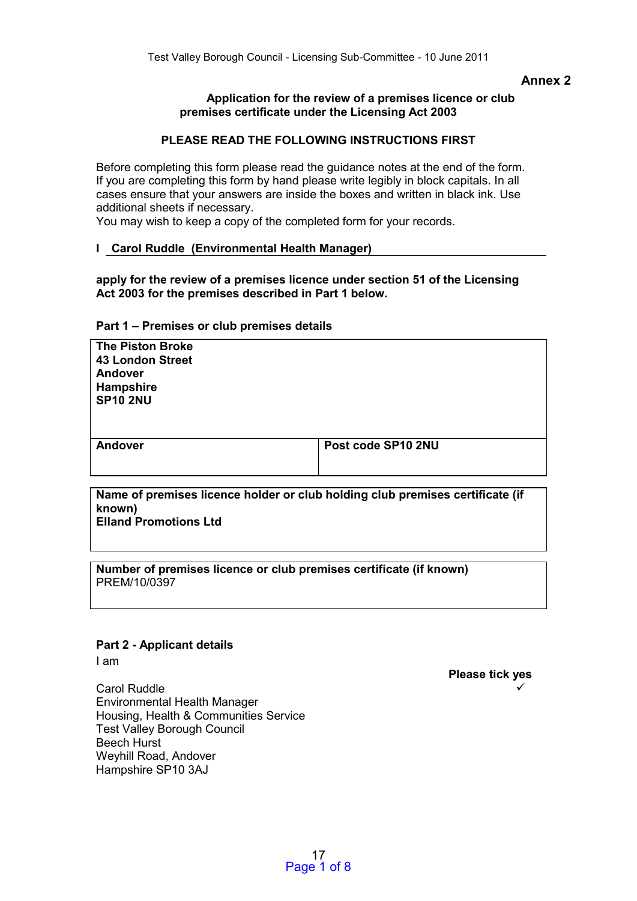## **Annex 2**

#### **Application for the review of a premises licence or club premises certificate under the Licensing Act 2003**

## **PLEASE READ THE FOLLOWING INSTRUCTIONS FIRST**

Before completing this form please read the guidance notes at the end of the form. If you are completing this form by hand please write legibly in block capitals. In all cases ensure that your answers are inside the boxes and written in black ink. Use additional sheets if necessary.

You may wish to keep a copy of the completed form for your records.

#### **I Carol Ruddle (Environmental Health Manager)**

**apply for the review of a premises licence under section 51 of the Licensing Act 2003 for the premises described in Part 1 below.** 

#### **Part 1 – Premises or club premises details**

| <b>The Piston Broke</b> |
|-------------------------|
| <b>43 London Street</b> |
| <b>Andover</b>          |
| <b>Hampshire</b>        |
| <b>SP10 2NU</b>         |

**Andover Post code SP10 2NU** 

**Name of premises licence holder or club holding club premises certificate (if known) Elland Promotions Ltd** 

**Number of premises licence or club premises certificate (if known)**  PREM/10/0397

## **Part 2 - Applicant details**

I am

**Please tick yes**   $\checkmark$ 

Carol Ruddle Environmental Health Manager Housing, Health & Communities Service Test Valley Borough Council Beech Hurst Weyhill Road, Andover Hampshire SP10 3AJ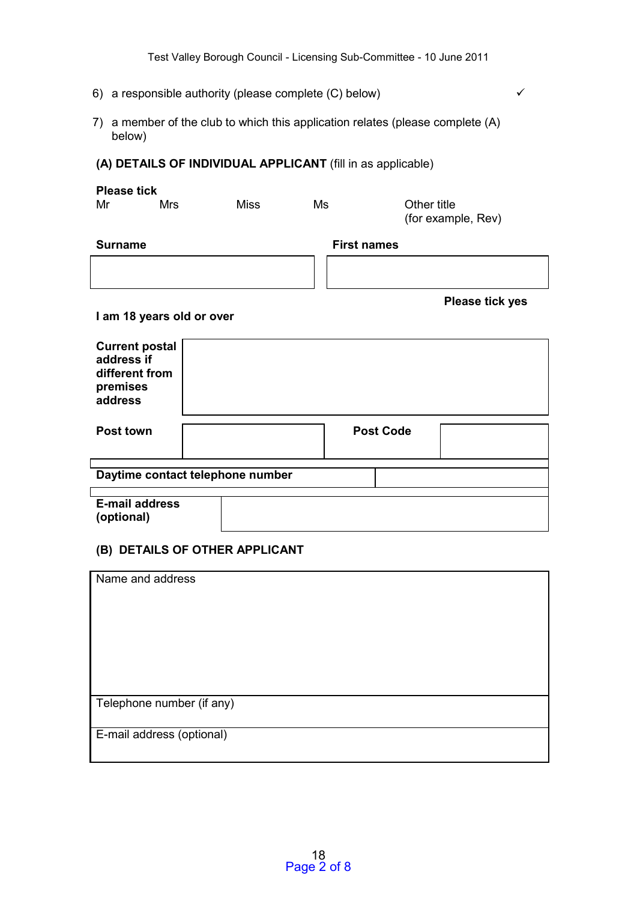- 6) a responsible authority (please complete  $(C)$  below)
- 7) a member of the club to which this application relates (please complete (A) below)

## **(A) DETAILS OF INDIVIDUAL APPLICANT** (fill in as applicable)

| <b>Please tick</b>                                                           |                           |                                  |                    |                                   |                        |
|------------------------------------------------------------------------------|---------------------------|----------------------------------|--------------------|-----------------------------------|------------------------|
| Mr                                                                           | Mrs                       | <b>Miss</b>                      | Ms                 | Other title<br>(for example, Rev) |                        |
| <b>Surname</b>                                                               |                           |                                  | <b>First names</b> |                                   |                        |
|                                                                              |                           |                                  |                    |                                   |                        |
|                                                                              |                           |                                  |                    |                                   | <b>Please tick yes</b> |
|                                                                              | I am 18 years old or over |                                  |                    |                                   |                        |
| <b>Current postal</b><br>address if<br>different from<br>premises<br>address |                           |                                  |                    |                                   |                        |
| Post town                                                                    |                           |                                  |                    | <b>Post Code</b>                  |                        |
|                                                                              |                           |                                  |                    |                                   |                        |
|                                                                              |                           | Daytime contact telephone number |                    |                                   |                        |
| <b>F-mail address</b>                                                        |                           |                                  |                    |                                   |                        |

**E-mail address (optional)**

## **(B) DETAILS OF OTHER APPLICANT**

| Name and address          |
|---------------------------|
|                           |
|                           |
|                           |
|                           |
|                           |
| Telephone number (if any) |
| E-mail address (optional) |
|                           |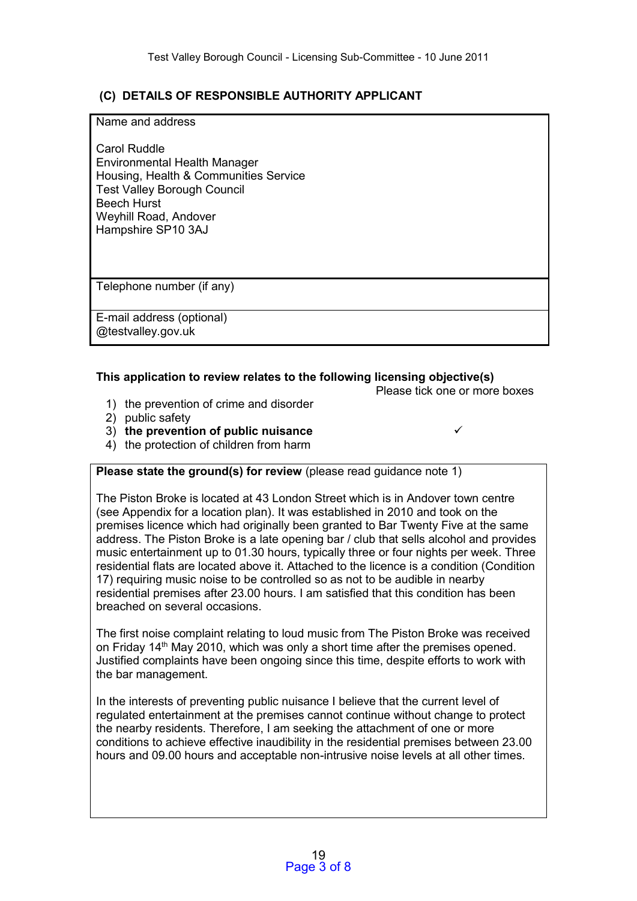## **(C) DETAILS OF RESPONSIBLE AUTHORITY APPLICANT**

#### Name and address

Carol Ruddle Environmental Health Manager Housing, Health & Communities Service Test Valley Borough Council Beech Hurst Weyhill Road, Andover Hampshire SP10 3AJ

Telephone number (if any)

E-mail address (optional) @testvalley.gov.uk

## **This application to review relates to the following licensing objective(s)**

Please tick one or more boxes

- 1) the prevention of crime and disorder
- 2) public safety

- 3) **the prevention of public nuisance**
- 4) the protection of children from harm

## **Please state the ground(s) for review** (please read quidance note 1)

The Piston Broke is located at 43 London Street which is in Andover town centre (see Appendix for a location plan). It was established in 2010 and took on the premises licence which had originally been granted to Bar Twenty Five at the same address. The Piston Broke is a late opening bar / club that sells alcohol and provides music entertainment up to 01.30 hours, typically three or four nights per week. Three residential flats are located above it. Attached to the licence is a condition (Condition 17) requiring music noise to be controlled so as not to be audible in nearby residential premises after 23.00 hours. I am satisfied that this condition has been breached on several occasions.

The first noise complaint relating to loud music from The Piston Broke was received on Friday  $14<sup>th</sup>$  May 2010, which was only a short time after the premises opened. Justified complaints have been ongoing since this time, despite efforts to work with the bar management.

In the interests of preventing public nuisance I believe that the current level of regulated entertainment at the premises cannot continue without change to protect the nearby residents. Therefore, I am seeking the attachment of one or more conditions to achieve effective inaudibility in the residential premises between 23.00 hours and 09.00 hours and acceptable non-intrusive noise levels at all other times.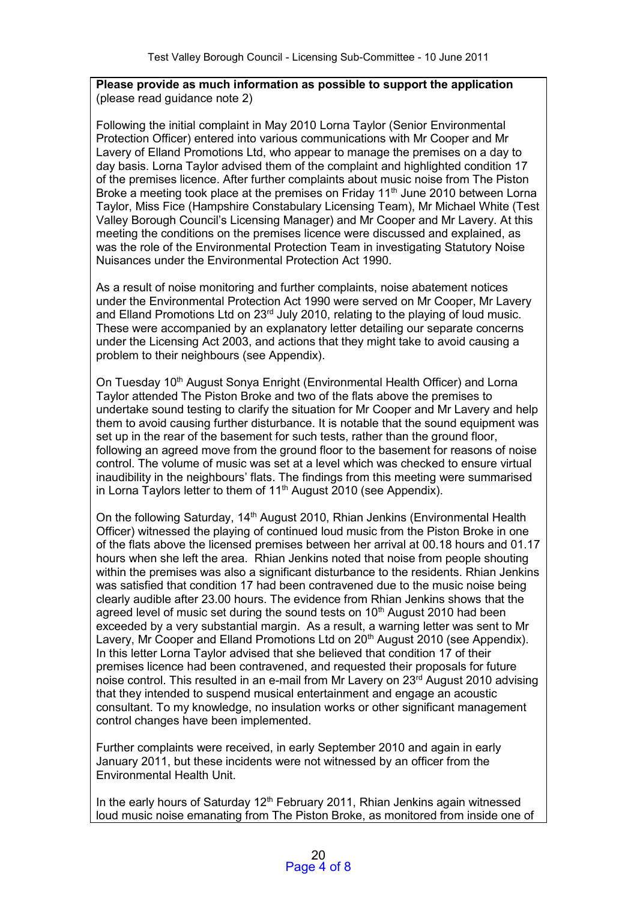## **Please provide as much information as possible to support the application**  (please read guidance note 2)

Following the initial complaint in May 2010 Lorna Taylor (Senior Environmental Protection Officer) entered into various communications with Mr Cooper and Mr Lavery of Elland Promotions Ltd, who appear to manage the premises on a day to day basis. Lorna Taylor advised them of the complaint and highlighted condition 17 of the premises licence. After further complaints about music noise from The Piston Broke a meeting took place at the premises on Friday 11<sup>th</sup> June 2010 between Lorna Taylor, Miss Fice (Hampshire Constabulary Licensing Team), Mr Michael White (Test Valley Borough Council's Licensing Manager) and Mr Cooper and Mr Lavery. At this meeting the conditions on the premises licence were discussed and explained, as was the role of the Environmental Protection Team in investigating Statutory Noise Nuisances under the Environmental Protection Act 1990.

As a result of noise monitoring and further complaints, noise abatement notices under the Environmental Protection Act 1990 were served on Mr Cooper, Mr Lavery and Elland Promotions Ltd on 23<sup>rd</sup> July 2010, relating to the playing of loud music. These were accompanied by an explanatory letter detailing our separate concerns under the Licensing Act 2003, and actions that they might take to avoid causing a problem to their neighbours (see Appendix).

On Tuesday 10<sup>th</sup> August Sonya Enright (Environmental Health Officer) and Lorna Taylor attended The Piston Broke and two of the flats above the premises to undertake sound testing to clarify the situation for Mr Cooper and Mr Lavery and help them to avoid causing further disturbance. It is notable that the sound equipment was set up in the rear of the basement for such tests, rather than the ground floor, following an agreed move from the ground floor to the basement for reasons of noise control. The volume of music was set at a level which was checked to ensure virtual inaudibility in the neighbours' flats. The findings from this meeting were summarised in Lorna Taylors letter to them of  $11<sup>th</sup>$  August 2010 (see Appendix).

On the following Saturday, 14<sup>th</sup> August 2010, Rhian Jenkins (Environmental Health Officer) witnessed the playing of continued loud music from the Piston Broke in one of the flats above the licensed premises between her arrival at 00.18 hours and 01.17 hours when she left the area. Rhian Jenkins noted that noise from people shouting within the premises was also a significant disturbance to the residents. Rhian Jenkins was satisfied that condition 17 had been contravened due to the music noise being clearly audible after 23.00 hours. The evidence from Rhian Jenkins shows that the agreed level of music set during the sound tests on 10<sup>th</sup> August 2010 had been exceeded by a very substantial margin. As a result, a warning letter was sent to Mr Lavery, Mr Cooper and Elland Promotions Ltd on 20<sup>th</sup> August 2010 (see Appendix). In this letter Lorna Taylor advised that she believed that condition 17 of their premises licence had been contravened, and requested their proposals for future noise control. This resulted in an e-mail from Mr Lavery on 23<sup>rd</sup> August 2010 advising that they intended to suspend musical entertainment and engage an acoustic consultant. To my knowledge, no insulation works or other significant management control changes have been implemented.

Further complaints were received, in early September 2010 and again in early January 2011, but these incidents were not witnessed by an officer from the Environmental Health Unit.

In the early hours of Saturday  $12<sup>th</sup>$  February 2011, Rhian Jenkins again witnessed loud music noise emanating from The Piston Broke, as monitored from inside one of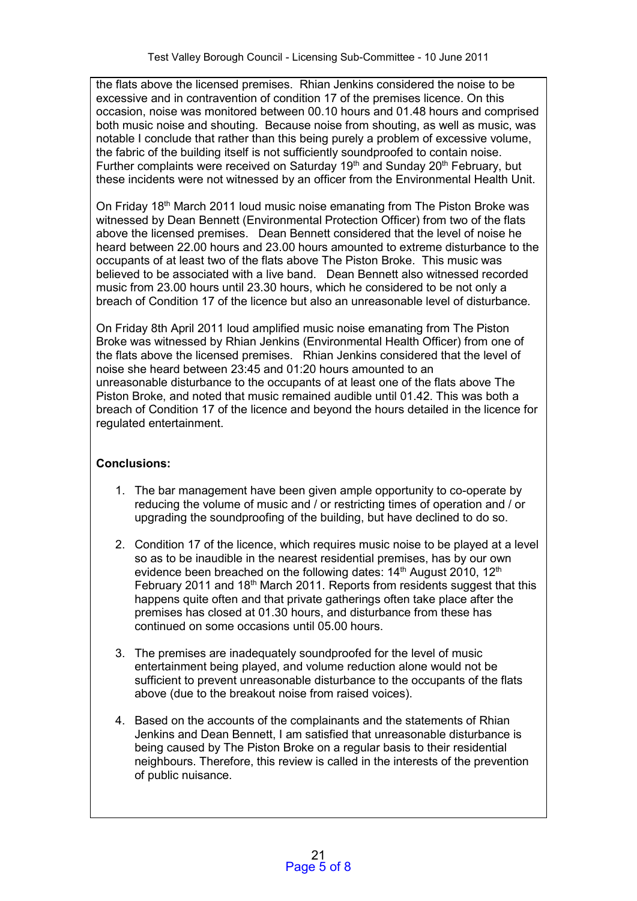the flats above the licensed premises. Rhian Jenkins considered the noise to be excessive and in contravention of condition 17 of the premises licence. On this occasion, noise was monitored between 00.10 hours and 01.48 hours and comprised both music noise and shouting. Because noise from shouting, as well as music, was notable I conclude that rather than this being purely a problem of excessive volume, the fabric of the building itself is not sufficiently soundproofed to contain noise. Further complaints were received on Saturday 19<sup>th</sup> and Sunday 20<sup>th</sup> February, but these incidents were not witnessed by an officer from the Environmental Health Unit.

On Friday 18<sup>th</sup> March 2011 loud music noise emanating from The Piston Broke was witnessed by Dean Bennett (Environmental Protection Officer) from two of the flats above the licensed premises. Dean Bennett considered that the level of noise he heard between 22.00 hours and 23.00 hours amounted to extreme disturbance to the occupants of at least two of the flats above The Piston Broke. This music was believed to be associated with a live band. Dean Bennett also witnessed recorded music from 23.00 hours until 23.30 hours, which he considered to be not only a breach of Condition 17 of the licence but also an unreasonable level of disturbance.

On Friday 8th April 2011 loud amplified music noise emanating from The Piston Broke was witnessed by Rhian Jenkins (Environmental Health Officer) from one of the flats above the licensed premises. Rhian Jenkins considered that the level of noise she heard between 23:45 and 01:20 hours amounted to an unreasonable disturbance to the occupants of at least one of the flats above The Piston Broke, and noted that music remained audible until 01.42. This was both a breach of Condition 17 of the licence and beyond the hours detailed in the licence for regulated entertainment.

# **Conclusions:**

- 1. The bar management have been given ample opportunity to co-operate by reducing the volume of music and / or restricting times of operation and / or upgrading the soundproofing of the building, but have declined to do so.
- 2. Condition 17 of the licence, which requires music noise to be played at a level so as to be inaudible in the nearest residential premises, has by our own evidence been breached on the following dates: 14<sup>th</sup> August 2010, 12<sup>th</sup> February 2011 and 18<sup>th</sup> March 2011. Reports from residents suggest that this happens quite often and that private gatherings often take place after the premises has closed at 01.30 hours, and disturbance from these has continued on some occasions until 05.00 hours.
- 3. The premises are inadequately soundproofed for the level of music entertainment being played, and volume reduction alone would not be sufficient to prevent unreasonable disturbance to the occupants of the flats above (due to the breakout noise from raised voices).
- 4. Based on the accounts of the complainants and the statements of Rhian Jenkins and Dean Bennett, I am satisfied that unreasonable disturbance is being caused by The Piston Broke on a regular basis to their residential neighbours. Therefore, this review is called in the interests of the prevention of public nuisance.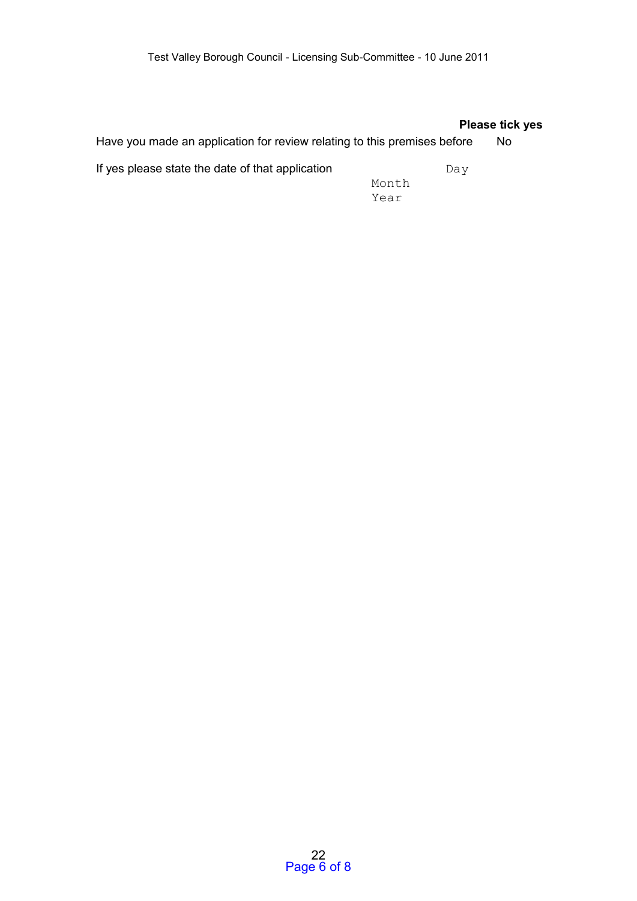## **Please tick yes**

Have you made an application for review relating to this premises before No

If yes please state the date of that application  $Day$ 

Month Year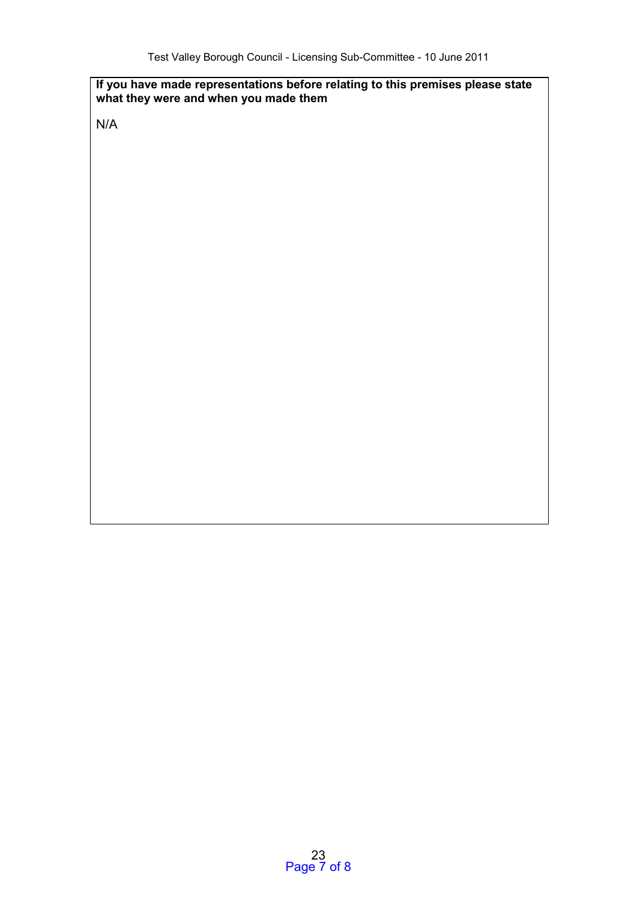## **If you have made representations before relating to this premises please state what they were and when you made them**

N/A